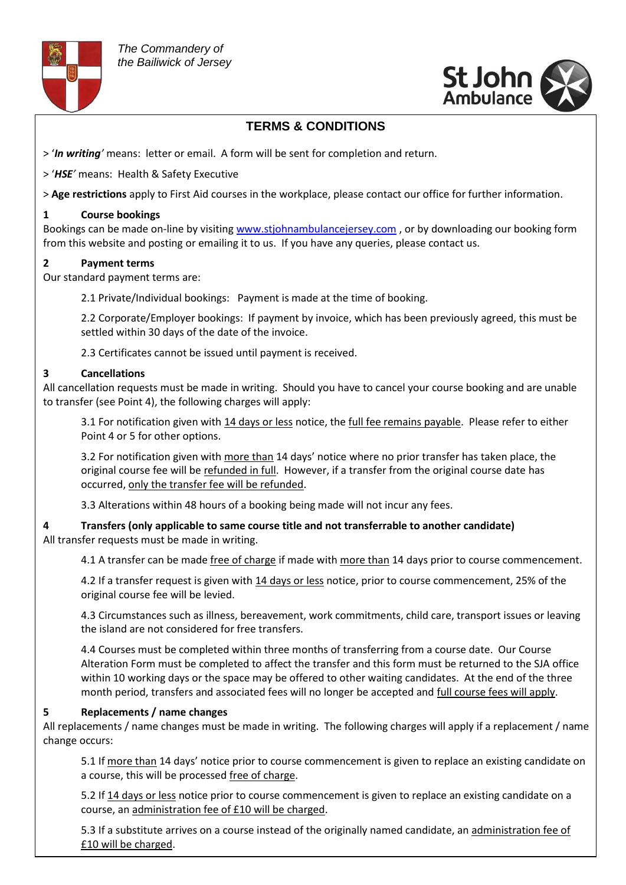



## **TERMS & CONDITIONS**

- > '*In writing'* means: letter or email. A form will be sent for completion and return.
- > '*HSE'* means: Health & Safety Executive

> **Age restrictions** apply to First Aid courses in the workplace, please contact our office for further information.

### **1 Course bookings**

Bookings can be made on-line by visitin[g www.stjohnambulancejersey.com](http://www.stjohnambulancejersey.com/) , or by downloading our booking form from this website and posting or emailing it to us. If you have any queries, please contact us.

### **2 Payment terms**

Our standard payment terms are:

2.1 Private/Individual bookings: Payment is made at the time of booking.

2.2 Corporate/Employer bookings: If payment by invoice, which has been previously agreed, this must be settled within 30 days of the date of the invoice.

2.3 Certificates cannot be issued until payment is received.

### **3 Cancellations**

All cancellation requests must be made in writing. Should you have to cancel your course booking and are unable to transfer (see Point 4), the following charges will apply:

3.1 For notification given with 14 days or less notice, the full fee remains payable. Please refer to either Point 4 or 5 for other options.

3.2 For notification given with more than 14 days' notice where no prior transfer has taken place, the original course fee will be refunded in full. However, if a transfer from the original course date has occurred, only the transfer fee will be refunded.

3.3 Alterations within 48 hours of a booking being made will not incur any fees.

**4 Transfers (only applicable to same course title and not transferrable to another candidate)** All transfer requests must be made in writing.

4.1 A transfer can be made free of charge if made with more than 14 days prior to course commencement.

4.2 If a transfer request is given with 14 days or less notice, prior to course commencement, 25% of the original course fee will be levied.

4.3 Circumstances such as illness, bereavement, work commitments, child care, transport issues or leaving the island are not considered for free transfers.

4.4 Courses must be completed within three months of transferring from a course date. Our Course Alteration Form must be completed to affect the transfer and this form must be returned to the SJA office within 10 working days or the space may be offered to other waiting candidates. At the end of the three month period, transfers and associated fees will no longer be accepted and full course fees will apply.

### **5 Replacements / name changes**

All replacements / name changes must be made in writing. The following charges will apply if a replacement / name change occurs:

5.1 If more than 14 days' notice prior to course commencement is given to replace an existing candidate on a course, this will be processed free of charge.

course, an administration fee of £10 will be charged. 5.2 If 14 days or less notice prior to course commencement is given to replace an existing candidate on a

5.3 If a substitute arrives on a course instead of the originally named candidate, an administration fee of £10 will be charged.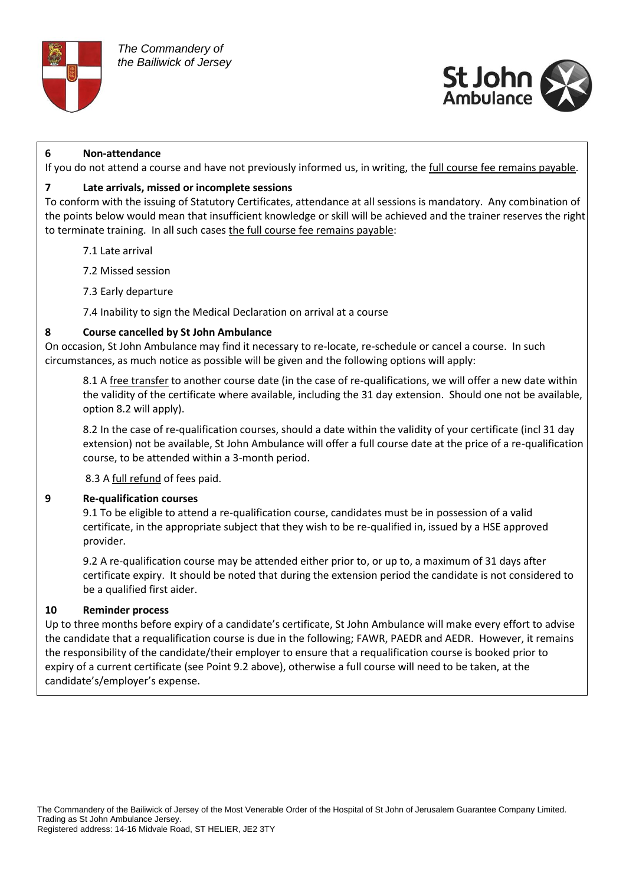



#### **6 Non-attendance**

If you do not attend a course and have not previously informed us, in writing, the full course fee remains payable.

#### **7 Late arrivals, missed or incomplete sessions**

To conform with the issuing of Statutory Certificates, attendance at all sessions is mandatory. Any combination of the points below would mean that insufficient knowledge or skill will be achieved and the trainer reserves the right to terminate training. In all such cases the full course fee remains payable:

- 7.1 Late arrival
- 7.2 Missed session
- 7.3 Early departure
- 7.4 Inability to sign the Medical Declaration on arrival at a course

#### **8 Course cancelled by St John Ambulance**

On occasion, St John Ambulance may find it necessary to re-locate, re-schedule or cancel a course. In such circumstances, as much notice as possible will be given and the following options will apply:

8.1 A free transfer to another course date (in the case of re-qualifications, we will offer a new date within the validity of the certificate where available, including the 31 day extension. Should one not be available, option 8.2 will apply).

8.2 In the case of re-qualification courses, should a date within the validity of your certificate (incl 31 day extension) not be available, St John Ambulance will offer a full course date at the price of a re-qualification course, to be attended within a 3-month period.

8.3 A full refund of fees paid.

#### **9 Re-qualification courses**

9.1 To be eligible to attend a re-qualification course, candidates must be in possession of a valid certificate, in the appropriate subject that they wish to be re-qualified in, issued by a HSE approved provider.

9.2 A re-qualification course may be attended either prior to, or up to, a maximum of 31 days after certificate expiry. It should be noted that during the extension period the candidate is not considered to be a qualified first aider.

### **10 Reminder process**

Up to three months before expiry of a candidate's certificate, St John Ambulance will make every effort to advise the candidate that a requalification course is due in the following; FAWR, PAEDR and AEDR. However, it remains the responsibility of the candidate/their employer to ensure that a requalification course is booked prior to expiry of a current certificate (see Point 9.2 above), otherwise a full course will need to be taken, at the candidate's/employer's expense.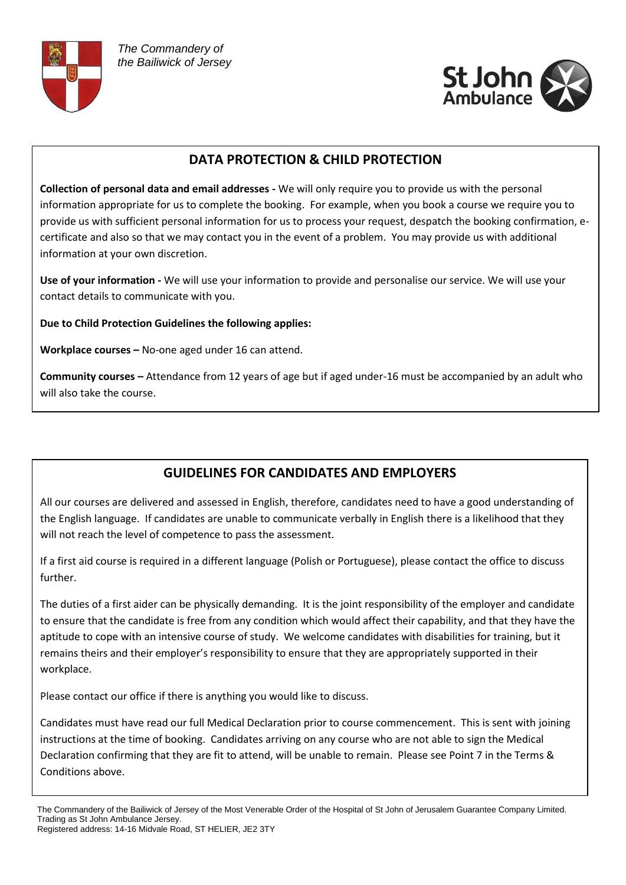



# **DATA PROTECTION & CHILD PROTECTION**

**Collection of personal data and email addresses -** We will only require you to provide us with the personal information appropriate for us to complete the booking. For example, when you book a course we require you to provide us with sufficient personal information for us to process your request, despatch the booking confirmation, ecertificate and also so that we may contact you in the event of a problem. You may provide us with additional information at your own discretion.

**Use of your information -** We will use your information to provide and personalise our service. We will use your contact details to communicate with you.

**Due to Child Protection Guidelines the following applies:**

**Workplace courses –** No-one aged under 16 can attend.

**Community courses –** Attendance from 12 years of age but if aged under-16 must be accompanied by an adult who will also take the course.

# **GUIDELINES FOR CANDIDATES AND EMPLOYERS**

All our courses are delivered and assessed in English, therefore, candidates need to have a good understanding of the English language. If candidates are unable to communicate verbally in English there is a likelihood that they will not reach the level of competence to pass the assessment.

If a first aid course is required in a different language (Polish or Portuguese), please contact the office to discuss further.

The duties of a first aider can be physically demanding. It is the joint responsibility of the employer and candidate to ensure that the candidate is free from any condition which would affect their capability, and that they have the aptitude to cope with an intensive course of study. We welcome candidates with disabilities for training, but it remains theirs and their employer's responsibility to ensure that they are appropriately supported in their workplace.

Please contact our office if there is anything you would like to discuss.

Candidates must have read our full Medical Declaration prior to course commencement. This is sent with joining instructions at the time of booking. Candidates arriving on any course who are not able to sign the Medical Declaration confirming that they are fit to attend, will be unable to remain. Please see Point 7 in the Terms & Conditions above.

The Commandery of the Bailiwick of Jersey of the Most Venerable Order of the Hospital of St John of Jerusalem Guarantee Company Limited. Trading as St John Ambulance Jersey. Registered address: 14-16 Midvale Road, ST HELIER, JE2 3TY